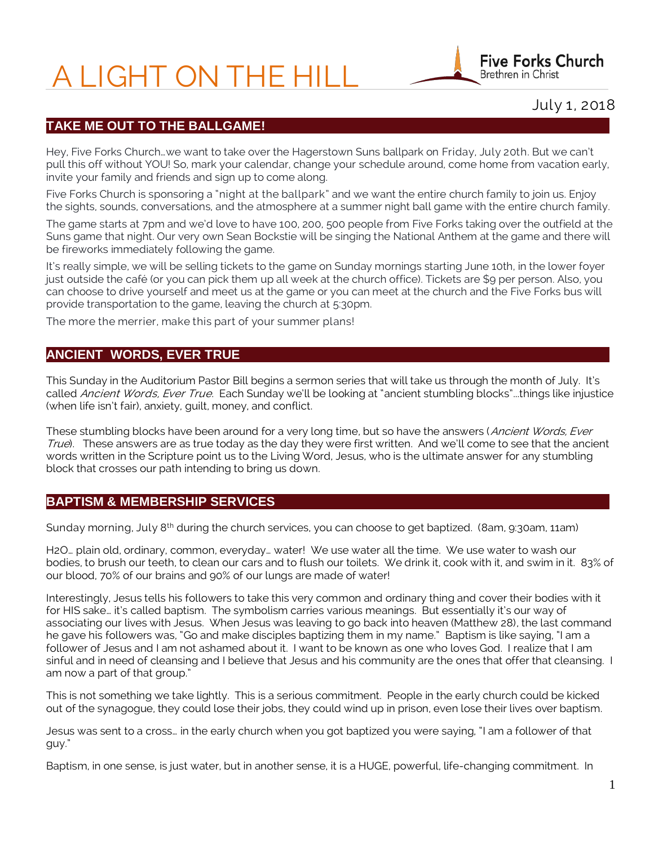# A LIGHT ON THE HILL



# July 1, 2018

## **TAKE ME OUT TO THE BALLGAME!**

Hey, Five Forks Church…we want to take over the Hagerstown Suns ballpark on Friday, July 20th. But we can't pull this off without YOU! So, mark your calendar, change your schedule around, come home from vacation early, invite your family and friends and sign up to come along.

Five Forks Church is sponsoring a "night at the ballpark" and we want the entire church family to join us. Enjoy the sights, sounds, conversations, and the atmosphere at a summer night ball game with the entire church family.

The game starts at 7pm and we'd love to have 100, 200, 500 people from Five Forks taking over the outfield at the Suns game that night. Our very own Sean Bockstie will be singing the National Anthem at the game and there will be fireworks immediately following the game.

It's really simple, we will be selling tickets to the game on Sunday mornings starting June 10th, in the lower foyer just outside the café (or you can pick them up all week at the church office). Tickets are \$9 per person. Also, you can choose to drive yourself and meet us at the game or you can meet at the church and the Five Forks bus will provide transportation to the game, leaving the church at 5:30pm.

The more the merrier, make this part of your summer plans!

#### **ANCIENT WORDS, EVER TRUE**

This Sunday in the Auditorium Pastor Bill begins a sermon series that will take us through the month of July. It's called Ancient Words, Ever True. Each Sunday we'll be looking at "ancient stumbling blocks"...things like injustice (when life isn't fair), anxiety, guilt, money, and conflict.

These stumbling blocks have been around for a very long time, but so have the answers (Ancient Words, Ever True). These answers are as true today as the day they were first written. And we'll come to see that the ancient words written in the Scripture point us to the Living Word, Jesus, who is the ultimate answer for any stumbling block that crosses our path intending to bring us down.

#### **BAPTISM & MEMBERSHIP SERVICES**

Sunday morning, July 8<sup>th</sup> during the church services, you can choose to get baptized. (8am, 9:30am, 11am)

H2O… plain old, ordinary, common, everyday… water! We use water all the time. We use water to wash our bodies, to brush our teeth, to clean our cars and to flush our toilets. We drink it, cook with it, and swim in it. 83% of our blood, 70% of our brains and 90% of our lungs are made of water!

Interestingly, Jesus tells his followers to take this very common and ordinary thing and cover their bodies with it for HIS sake… it's called baptism. The symbolism carries various meanings. But essentially it's our way of associating our lives with Jesus. When Jesus was leaving to go back into heaven (Matthew 28), the last command he gave his followers was, "Go and make disciples baptizing them in my name." Baptism is like saying, "I am a follower of Jesus and I am not ashamed about it. I want to be known as one who loves God. I realize that I am sinful and in need of cleansing and I believe that Jesus and his community are the ones that offer that cleansing. I am now a part of that group."

This is not something we take lightly. This is a serious commitment. People in the early church could be kicked out of the synagogue, they could lose their jobs, they could wind up in prison, even lose their lives over baptism.

Jesus was sent to a cross… in the early church when you got baptized you were saying, "I am a follower of that guy."

Baptism, in one sense, is just water, but in another sense, it is a HUGE, powerful, life-changing commitment. In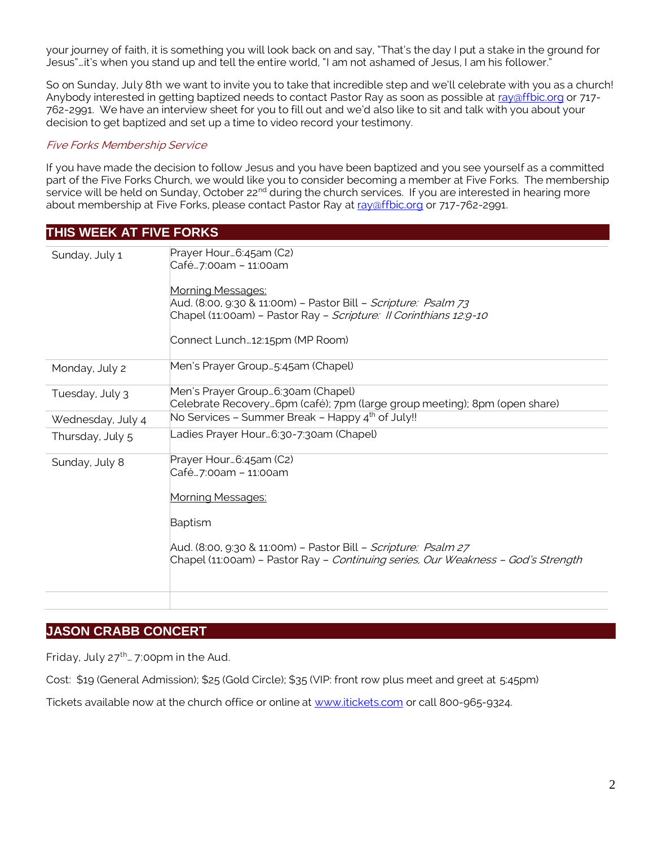your journey of faith, it is something you will look back on and say, "That's the day I put a stake in the ground for Jesus"…it's when you stand up and tell the entire world, "I am not ashamed of Jesus, I am his follower."

So on Sunday, July 8th we want to invite you to take that incredible step and we'll celebrate with you as a church! Anybody interested in getting baptized needs to contact Pastor Ray as soon as possible at ray affbic.org or 717-762-2991. We have an interview sheet for you to fill out and we'd also like to sit and talk with you about your decision to get baptized and set up a time to video record your testimony.

#### Five Forks Membership Service

If you have made the decision to follow Jesus and you have been baptized and you see yourself as a committed part of the Five Forks Church, we would like you to consider becoming a member at Five Forks. The membership service will be held on Sunday, October 22<sup>nd</sup> during the church services. If you are interested in hearing more about membership at Five Forks, please contact Pastor Ray at ray affbic.org or 717-762-2991.

#### **THIS WEEK AT FIVE FORKS**

| Sunday, July 1    | Prayer Hour6:45am (C2)<br>Café…7:00am – 11:00am                                                                                                                                                                                                      |
|-------------------|------------------------------------------------------------------------------------------------------------------------------------------------------------------------------------------------------------------------------------------------------|
|                   | <u> Morning Messages:</u><br>Aud. (8:00, 9:30 & 11:00m) – Pastor Bill – <i>Scripture: Psalm 73</i><br>Chapel (11:00am) – Pastor Ray – <i>Scripture: II Corinthians 12:9-10</i>                                                                       |
|                   | Connect Lunch12:15pm (MP Room)                                                                                                                                                                                                                       |
| Monday, July 2    | Men's Prayer Group5:45am (Chapel)                                                                                                                                                                                                                    |
| Tuesday, July 3   | Men's Prayer Group6:30am (Chapel)<br>Celebrate Recovery6pm (café); 7pm (large group meeting); 8pm (open share)                                                                                                                                       |
| Wednesday, July 4 | No Services - Summer Break - Happy 4 <sup>th</sup> of July!!                                                                                                                                                                                         |
| Thursday, July 5  | _adies Prayer Hour…6:30-7:30am (Chapel)                                                                                                                                                                                                              |
| Sunday, July 8    | Prayer Hour6:45am (C2)<br>Café…7:00am – 11:00am<br>Morning Messages:<br>Baptism<br>Aud. (8:00, 9:30 & 11:00m) – Pastor Bill – <i>Scripture:  Psalm 27</i><br>Chapel (11:00am) - Pastor Ray - <i>Continuing series, Our Weakness - God's Strength</i> |
|                   |                                                                                                                                                                                                                                                      |

# **JASON CRABB CONCERT**

Friday, July  $27^{th}$ ... 7:00pm in the Aud.

Cost: \$19 (General Admission); \$25 (Gold Circle); \$35 (VIP: front row plus meet and greet at 5:45pm)

Tickets available now at the church office or online at [www.itickets.com](http://www.itickets.com/) or call 800-965-9324.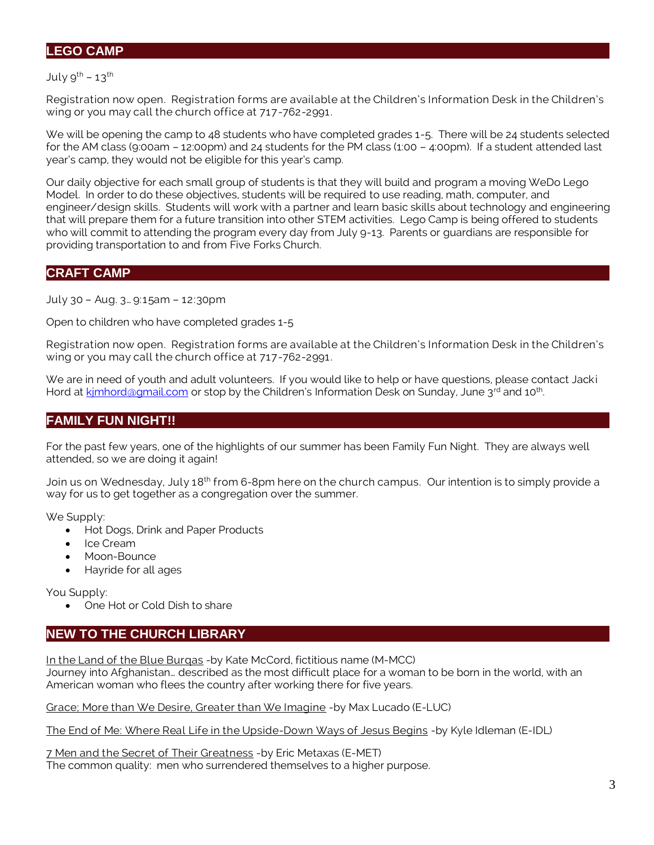## **LEGO CAMP**

July  $9^{th}$  – 13<sup>th</sup>

Registration now open. Registration forms are available at the Children's Information Desk in the Children's wing or you may call the church office at 717-762-2991.

We will be opening the camp to 48 students who have completed grades 1-5. There will be 24 students selected for the AM class (9:00am – 12:00pm) and 24 students for the PM class (1:00 – 4:00pm). If a student attended last year's camp, they would not be eligible for this year's camp.

Our daily objective for each small group of students is that they will build and program a moving WeDo Lego Model. In order to do these objectives, students will be required to use reading, math, computer, and engineer/design skills. Students will work with a partner and learn basic skills about technology and engineering that will prepare them for a future transition into other STEM activities. Lego Camp is being offered to students who will commit to attending the program every day from July 9-13. Parents or guardians are responsible for providing transportation to and from Five Forks Church.

#### **CRAFT CAMP**

July 30 – Aug. 3… 9:15am – 12:30pm

Open to children who have completed grades 1-5

Registration now open. Registration forms are available at the Children's Information Desk in the Children's wing or you may call the church office at 717-762-2991.

We are in need of youth and adult volunteers. If you would like to help or have questions, please contact Jacki Hord at kimhord@gmail.com or stop by the Children's Information Desk on Sunday, June 3<sup>rd</sup> and 10<sup>th</sup>. .

# **FAMILY FUN NIGHT!!**

For the past few years, one of the highlights of our summer has been Family Fun Night. They are always well attended, so we are doing it again!

Join us on Wednesday, July 18<sup>th</sup> from 6-8pm here on the church campus. Our intention is to simply provide a way for us to get together as a congregation over the summer.

We Supply:

- Hot Dogs, Drink and Paper Products
- Ice Cream
- Moon-Bounce
- Hayride for all ages

You Supply:

• One Hot or Cold Dish to share

# **NEW TO THE CHURCH LIBRARY**

In the Land of the Blue Burgas -by Kate McCord, fictitious name (M-MCC) Journey into Afghanistan… described as the most difficult place for a woman to be born in the world, with an American woman who flees the country after working there for five years.

Grace; More than We Desire, Greater than We Imagine -by Max Lucado (E-LUC)

The End of Me: Where Real Life in the Upside-Down Ways of Jesus Begins -by Kyle Idleman (E-IDL)

7 Men and the Secret of Their Greatness -by Eric Metaxas (E-MET) The common quality: men who surrendered themselves to a higher purpose.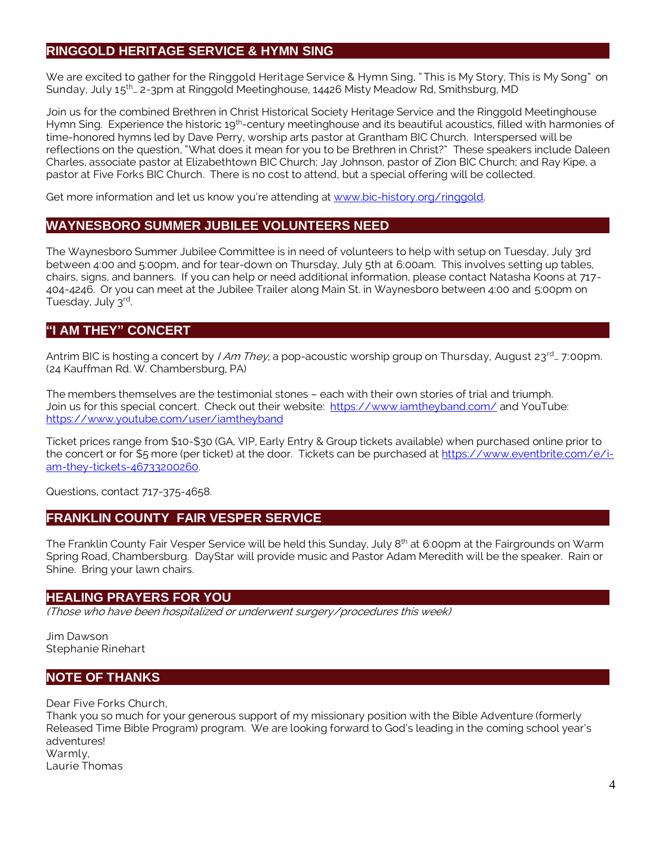# **RINGGOLD HERITAGE SERVICE & HYMN SING**

We are excited to gather for the Ringgold Heritage Service & Hymn Sing, "This is My Story, This is My Song" on Sunday, July 15<sup>th</sup>… 2-3pm at Ringgold Meetinghouse, 14426 Misty Meadow Rd, Smithsburg, MD

Join us for the combined Brethren in Christ Historical Society Heritage Service and the Ringgold Meetinghouse Hymn Sing. Experience the historic 19<sup>th</sup>-century meetinghouse and its beautiful acoustics, filled with harmonies of time-honored hymns led by Dave Perry, worship arts pastor at Grantham BIC Church. Interspersed will be reflections on the question, "What does it mean for you to be Brethren in Christ?" These speakers include Daleen Charles, associate pastor at Elizabethtown BIC Church; Jay Johnson, pastor of Zion BIC Church; and Ray Kipe, a pastor at Five Forks BIC Church. There is no cost to attend, but a special offering will be collected.

Get more information and let us know you're attending at [www.bic-history.org/ringgold.](http://www.bic-history.org/ringgold)

# **WAYNESBORO SUMMER JUBILEE VOLUNTEERS NEED**

The Waynesboro Summer Jubilee Committee is in need of volunteers to help with setup on Tuesday, July 3rd between 4:00 and 5:00pm, and for tear-down on Thursday, July 5th at 6:00am. This involves setting up tables, chairs, signs, and banners. If you can help or need additional information, please contact Natasha Koons at 717- 404-4246. Or you can meet at the Jubilee Trailer along Main St. in Waynesboro between 4:00 and 5:00pm on Tuesday, July 3rd.

# **"I AM THEY" CONCERT**

Antrim BIC is hosting a concert by *I Am They,* a pop-acoustic worship group on Thursday, August 23<sup>rd</sup>… 7:00pm. (24 Kauffman Rd. W. Chambersburg, PA)

The members themselves are the testimonial stones – each with their own stories of trial and triumph. Join us for this special concert. Check out their website: <https://www.iamtheyband.com/> and YouTube: <https://www.youtube.com/user/iamtheyband>

Ticket prices range from \$10-\$30 (GA, VIP, Early Entry & Group tickets available) when purchased online prior to the concert or for \$5 more (per ticket) at the door. Tickets can be purchased at [https://www.eventbrite.com/e/i](https://www.eventbrite.com/e/i-am-they-tickets-46733200260)[am-they-tickets-46733200260.](https://www.eventbrite.com/e/i-am-they-tickets-46733200260)

Questions, contact 717-375-4658.

#### **FRANKLIN COUNTY FAIR VESPER SERVICE**

The Franklin County Fair Vesper Service will be held this Sunday, July 8<sup>th</sup> at 6:00pm at the Fairgrounds on Warm Spring Road, Chambersburg. DayStar will provide music and Pastor Adam Meredith will be the speaker. Rain or Shine. Bring your lawn chairs.

#### **HEALING PRAYERS FOR YOU**

(Those who have been hospitalized or underwent surgery/procedures this week)

Jim Dawson Stephanie Rinehart

#### **NOTE OF THANKS**

Dear Five Forks Church,

Thank you so much for your generous support of my missionary position with the Bible Adventure (formerly Released Time Bible Program) program. We are looking forward to God's leading in the coming school year's adventures! Warmly, Laurie Thomas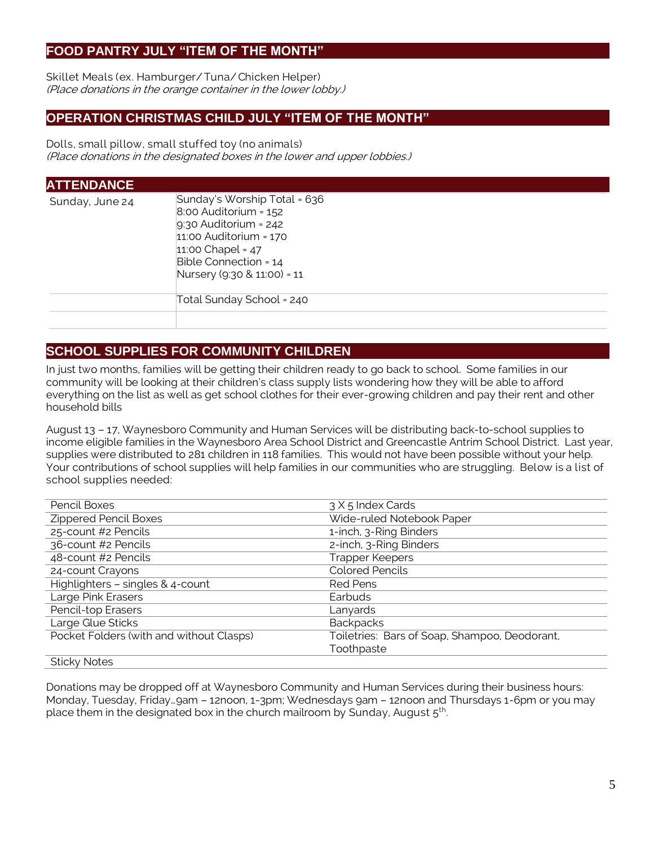# **FOOD PANTRY JULY "ITEM OF THE MONTH"**

Skillet Meals (ex. Hamburger/Tuna/ Chicken Helper) (Place donations in the orange container in the lower lobby.)

## **OPERATION CHRISTMAS CHILD JULY "ITEM OF THE MONTH"**

Dolls, small pillow, small stuffed toy (no animals) (Place donations in the designated boxes in the lower and upper lobbies.)

| <b>ATTENDANCE</b> |                                                                                                                                                                                                 |
|-------------------|-------------------------------------------------------------------------------------------------------------------------------------------------------------------------------------------------|
| Sunday, June 24   | Sunday's Worship Total = 636<br>$8.00$ Auditorium = $152$<br>$9:30$ Auditorium = 242<br>$11:00$ Auditorium = $170$<br>11:00 Chapel = 47<br>Bible Connection = 14<br>Nursery (9:30 & 11:00) = 11 |
|                   | Total Sunday School = 240                                                                                                                                                                       |

# **SCHOOL SUPPLIES FOR COMMUNITY CHILDREN**

In just two months, families will be getting their children ready to go back to school. Some families in our community will be looking at their children's class supply lists wondering how they will be able to afford everything on the list as well as get school clothes for their ever-growing children and pay their rent and other household bills

August 13 – 17, Waynesboro Community and Human Services will be distributing back-to-school supplies to income eligible families in the Waynesboro Area School District and Greencastle Antrim School District. Last year, supplies were distributed to 281 children in 118 families. This would not have been possible without your help. Your contributions of school supplies will help families in our communities who are struggling. Below is a list of school supplies needed:

| Pencil Boxes                                                           | 3 X 5 Index Cards                             |  |  |
|------------------------------------------------------------------------|-----------------------------------------------|--|--|
| <b>Zippered Pencil Boxes</b>                                           | Wide-ruled Notebook Paper                     |  |  |
| 25-count #2 Pencils                                                    | 1-inch, 3-Ring Binders                        |  |  |
| 36-count #2 Pencils                                                    | 2-inch, 3-Ring Binders                        |  |  |
| 48-count #2 Pencils                                                    | Trapper Keepers                               |  |  |
| 24-count Crayons                                                       | <b>Colored Pencils</b>                        |  |  |
| Highlighters - singles & 4-count                                       | <b>Red Pens</b>                               |  |  |
| Large Pink Erasers                                                     | Earbuds                                       |  |  |
| Pencil-top Erasers                                                     | Lanyards                                      |  |  |
| Large Glue Sticks                                                      | <b>Backpacks</b>                              |  |  |
| Pocket Folders (with and without Clasps)                               | Toiletries: Bars of Soap, Shampoo, Deodorant, |  |  |
|                                                                        | Toothpaste                                    |  |  |
| $C1$ $\uparrow$ $\uparrow$ $\uparrow$ $\uparrow$ $\uparrow$ $\uparrow$ |                                               |  |  |

#### Sticky Notes

Donations may be dropped off at Waynesboro Community and Human Services during their business hours: Monday, Tuesday, Friday…9am – 12noon, 1-3pm; Wednesdays 9am – 12noon and Thursdays 1-6pm or you may place them in the designated box in the church mailroom by Sunday, August  $5<sup>th</sup>$ . .